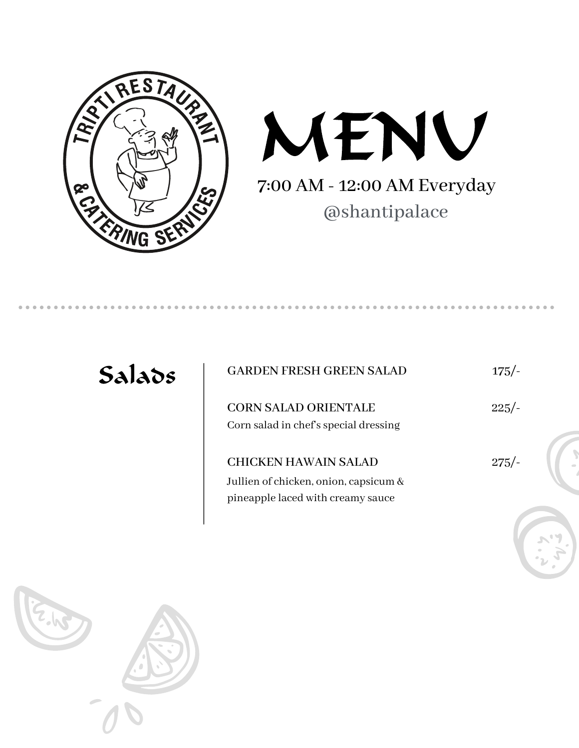



| Salads | <b>GARDEN FRESH GREEN SALAD</b>                                                                           | $175/-$ |
|--------|-----------------------------------------------------------------------------------------------------------|---------|
|        | <b>CORN SALAD ORIENTALE</b><br>Corn salad in chef's special dressing                                      | $225/-$ |
|        | <b>CHICKEN HAWAIN SALAD</b><br>Jullien of chicken, onion, capsicum &<br>pineapple laced with creamy sauce | $275/-$ |
|        |                                                                                                           |         |

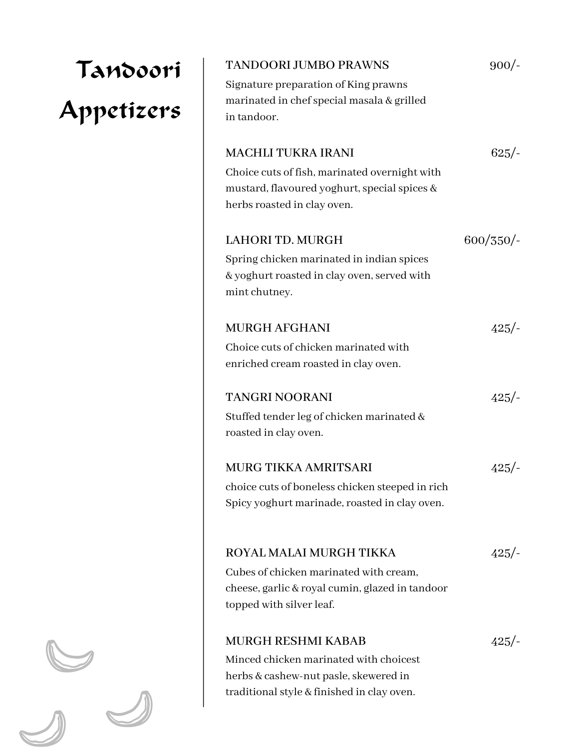| Tandoori   | <b>TANDOORI JUMBO PRAWNS</b>                                                                                                 | $900/-$  |
|------------|------------------------------------------------------------------------------------------------------------------------------|----------|
|            | Signature preparation of King prawns                                                                                         |          |
| Appetizers | marinated in chef special masala & grilled<br>in tandoor.                                                                    |          |
|            | <b>MACHLI TUKRA IRANI</b>                                                                                                    | $625/-$  |
|            | Choice cuts of fish, marinated overnight with<br>mustard, flavoured yoghurt, special spices &<br>herbs roasted in clay oven. |          |
|            | <b>LAHORI TD. MURGH</b>                                                                                                      | 600/350/ |
|            | Spring chicken marinated in indian spices<br>& yoghurt roasted in clay oven, served with<br>mint chutney.                    |          |
|            | <b>MURGH AFGHANI</b>                                                                                                         | 425/     |
|            | Choice cuts of chicken marinated with<br>enriched cream roasted in clay oven.                                                |          |
|            | <b>TANGRI NOORANI</b>                                                                                                        | 425/     |
|            | Stuffed tender leg of chicken marinated &<br>roasted in clay oven.                                                           |          |
|            | MURG TIKKA AMRITSARI                                                                                                         | $425/-$  |
|            | choice cuts of boneless chicken steeped in rich<br>Spicy yoghurt marinade, roasted in clay oven.                             |          |
|            | ROYAL MALAI MURGH TIKKA                                                                                                      | 425/     |
|            | Cubes of chicken marinated with cream,<br>cheese, garlic & royal cumin, glazed in tandoor<br>topped with silver leaf.        |          |
|            | <b>MURGH RESHMI KABAB</b>                                                                                                    | 425/     |
|            | Minced chicken marinated with choicest<br>herbs & cashew-nut pasle, skewered in                                              |          |
|            | traditional style & finished in clay oven.                                                                                   |          |

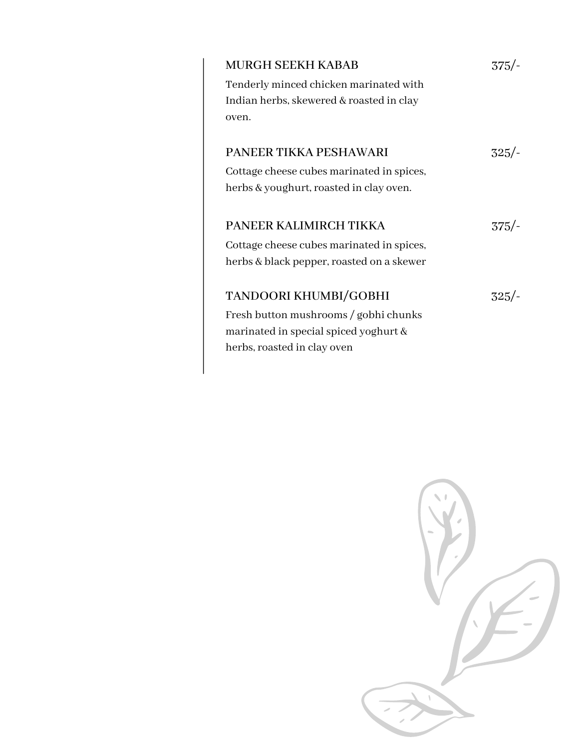| <b>MURGH SEEKH KABAB</b><br>Tenderly minced chicken marinated with<br>Indian herbs, skewered & roasted in clay<br>oven.                | 375.    |
|----------------------------------------------------------------------------------------------------------------------------------------|---------|
| <b>PANEER TIKKA PESHAWARI</b><br>Cottage cheese cubes marinated in spices,<br>herbs & youghurt, roasted in clay oven.                  | $325/-$ |
| PANEER KALIMIRCH TIKKA<br>Cottage cheese cubes marinated in spices,<br>herbs & black pepper, roasted on a skewer                       | $375/-$ |
| TANDOORI KHUMBI/GOBHI<br>Fresh button mushrooms / gobhi chunks<br>marinated in special spiced yoghurt &<br>herbs, roasted in clay oven | 325/-   |

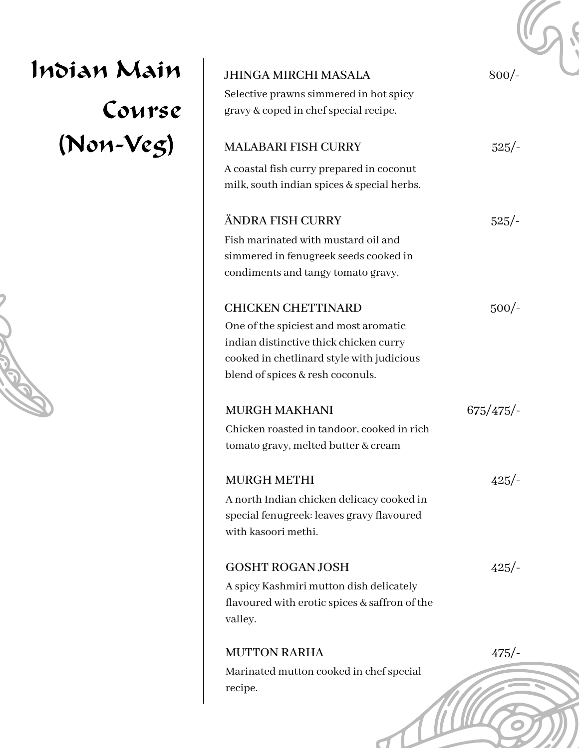| Indian Main | <b>JHINGA MIRCHI MASALA</b>                                                                                                                                                                   | $800/-$  |
|-------------|-----------------------------------------------------------------------------------------------------------------------------------------------------------------------------------------------|----------|
| Course      | Selective prawns simmered in hot spicy<br>gravy & coped in chef special recipe.                                                                                                               |          |
| (Non-Veg)   | <b>MALABARI FISH CURRY</b>                                                                                                                                                                    | $525/-$  |
|             | A coastal fish curry prepared in coconut<br>milk, south indian spices & special herbs.                                                                                                        |          |
|             | ÄNDRA FISH CURRY                                                                                                                                                                              | 525/     |
|             | Fish marinated with mustard oil and<br>simmered in fenugreek seeds cooked in<br>condiments and tangy tomato gravy.                                                                            |          |
|             | <b>CHICKEN CHETTINARD</b><br>One of the spiciest and most aromatic<br>indian distinctive thick chicken curry<br>cooked in chetlinard style with judicious<br>blend of spices & resh coconuls. | $500/-$  |
|             | <b>MURGH MAKHANI</b><br>Chicken roasted in tandoor, cooked in rich<br>tomato gravy, melted butter & cream                                                                                     | 675/475/ |
|             | <b>MURGH METHI</b><br>A north Indian chicken delicacy cooked in<br>special fenugreek: leaves gravy flavoured<br>with kasoori methi.                                                           | 425/     |
|             | <b>GOSHT ROGAN JOSH</b><br>A spicy Kashmiri mutton dish delicately<br>flavoured with erotic spices & saffron of the<br>valley.                                                                | 425/     |
|             | <b>MUTTON RARHA</b><br>Marinated mutton cooked in chef special<br>recipe.                                                                                                                     | $475/-$  |

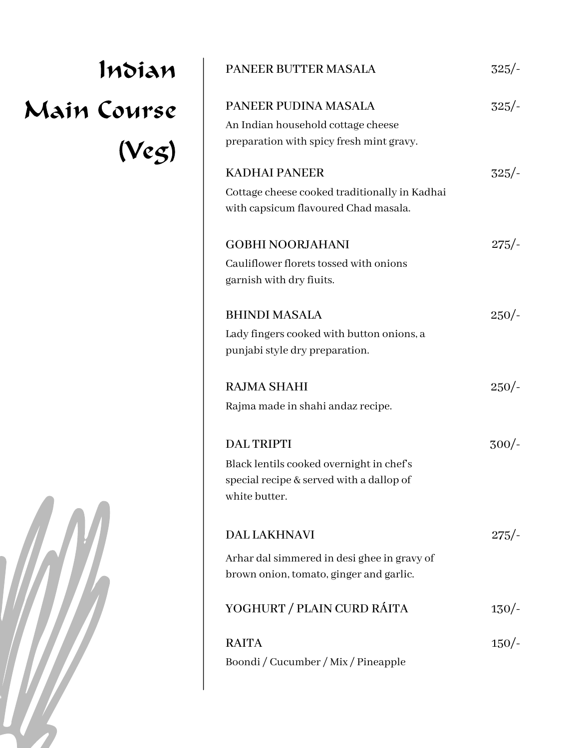## Indian Main Course (Veg)



| <b>PANEER BUTTER MASALA</b>                                                                                                | $325/-$ |
|----------------------------------------------------------------------------------------------------------------------------|---------|
| PANEER PUDINA MASALA<br>An Indian household cottage cheese<br>preparation with spicy fresh mint gravy.                     | $325/-$ |
| <b>KADHAI PANEER</b><br>Cottage cheese cooked traditionally in Kadhai<br>with capsicum flavoured Chad masala.              | $325/-$ |
| <b>GOBHI NOORJAHANI</b><br>Cauliflower florets tossed with onions<br>garnish with dry fiuits.                              | $275/-$ |
| <b>BHINDI MASALA</b><br>Lady fingers cooked with button onions, a<br>punjabi style dry preparation.                        | $250/-$ |
| <b>RAJMA SHAHI</b><br>Rajma made in shahi andaz recipe.                                                                    | $250/-$ |
| <b>DAL TRIPTI</b><br>Black lentils cooked overnight in chef's<br>special recipe & served with a dallop of<br>white butter. | $300/-$ |
| <b>DAL LAKHNAVI</b><br>Arhar dal simmered in desi ghee in gravy of<br>brown onion, tomato, ginger and garlic.              | $275/-$ |
| YOGHURT / PLAIN CURD RÁITA                                                                                                 | 130/    |
| <b>RAITA</b><br>Boondi / Cucumber / Mix / Pineapple                                                                        | 150/    |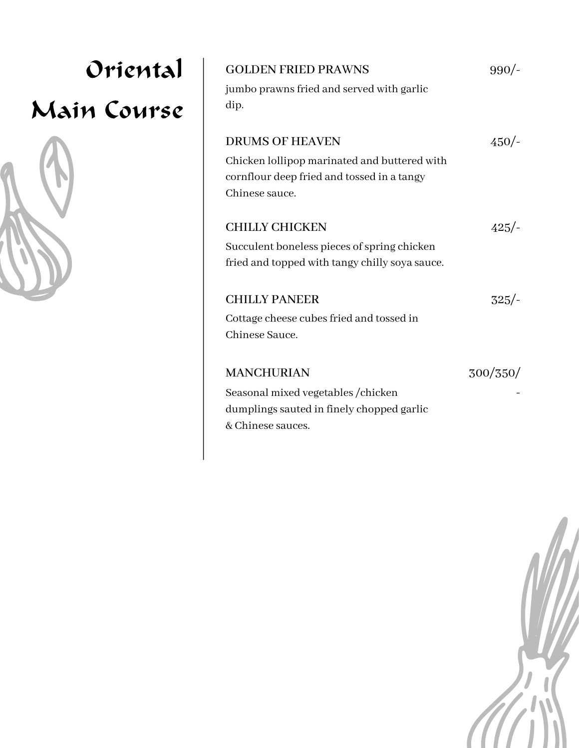| Oriental    | <b>GOLDEN FRIED PRAWNS</b>                                                                                                             | 990/     |
|-------------|----------------------------------------------------------------------------------------------------------------------------------------|----------|
| Main Course | jumbo prawns fried and served with garlic<br>dip.                                                                                      |          |
|             | <b>DRUMS OF HEAVEN</b><br>Chicken lollipop marinated and buttered with<br>cornflour deep fried and tossed in a tangy<br>Chinese sauce. | 450/     |
|             | <b>CHILLY CHICKEN</b><br>Succulent boneless pieces of spring chicken<br>fried and topped with tangy chilly soya sauce.                 | $425/-$  |
|             | <b>CHILLY PANEER</b><br>Cottage cheese cubes fried and tossed in<br>Chinese Sauce.                                                     | $325/-$  |
|             | <b>MANCHURIAN</b><br>Seasonal mixed vegetables / chicken<br>dumplings sauted in finely chopped garlic<br>& Chinese sauces.             | 300/350/ |

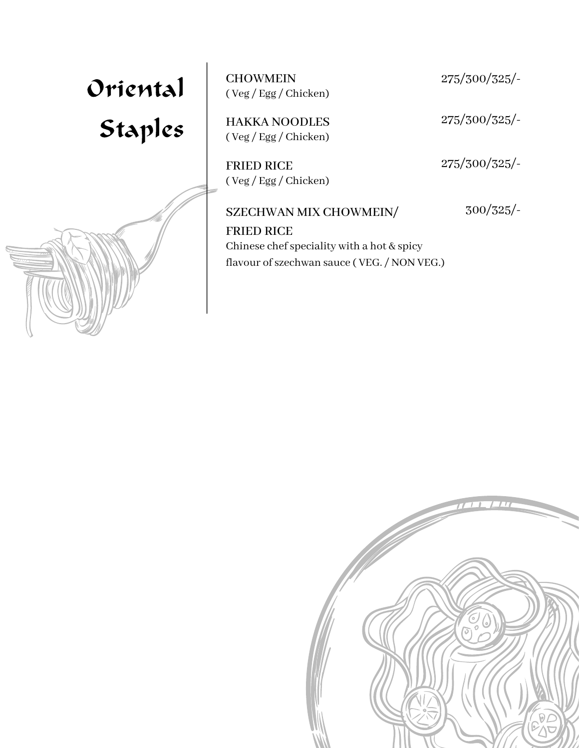## Oriental Staples

CHOWMEIN 275/300/325/- ( Veg / Egg / Chicken)

HAKKA NOODLES 275/300/325/- ( Veg / Egg / Chicken)

FRIED RICE 275/300/325/-( Veg / Egg / Chicken)

## SZECHWAN MIX CHOWMEIN/

FRIED RICE Chinese chef speciality with a hot  $&$  spicy flavour of szechwan sauce (VEG. / NON VEG.) 300/325/-



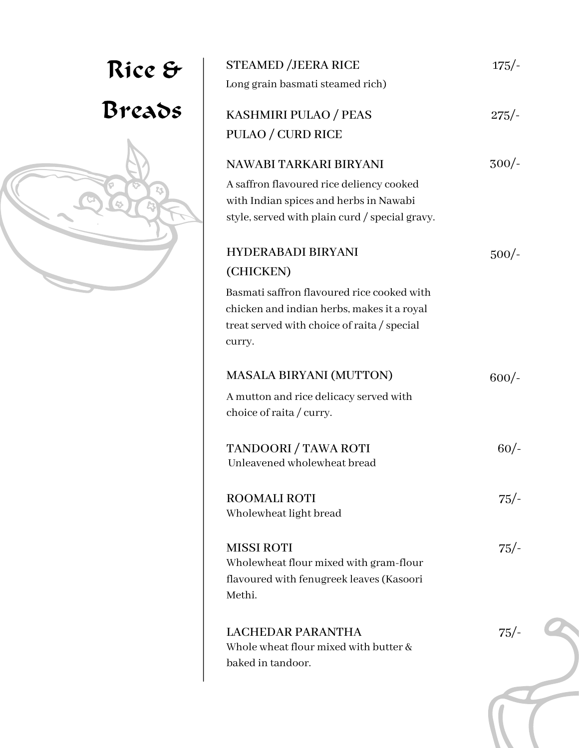|                  | <b>STEAMED /JEERA RICE</b><br>Long grain basmati steamed rich)                                                                                                                              | $175/-$ |
|------------------|---------------------------------------------------------------------------------------------------------------------------------------------------------------------------------------------|---------|
| Rice &<br>Breads | KASHMIRI PULAO / PEAS<br>PULAO / CURD RICE                                                                                                                                                  | $275/-$ |
| 23               | NAWABI TARKARI BIRYANI<br>A saffron flavoured rice deliency cooked<br>with Indian spices and herbs in Nawabi<br>style, served with plain curd / special gravy.                              | $300/-$ |
|                  | <b>HYDERABADI BIRYANI</b><br>(CHICKEN)<br>Basmati saffron flavoured rice cooked with<br>chicken and indian herbs, makes it a royal<br>treat served with choice of raita / special<br>curry. | $500/-$ |
|                  | <b>MASALA BIRYANI (MUTTON)</b><br>A mutton and rice delicacy served with<br>choice of raita / curry.                                                                                        | $600/-$ |
|                  | TANDOORI / TAWA ROTI<br>Unleavened wholewheat bread                                                                                                                                         | 60/     |
|                  | <b>ROOMALI ROTI</b><br>Wholewheat light bread                                                                                                                                               | $75/-$  |
|                  | <b>MISSI ROTI</b><br>Wholewheat flour mixed with gram-flour<br>flavoured with fenugreek leaves (Kasoori<br>Methi.                                                                           | $75/-$  |
|                  | <b>LACHEDAR PARANTHA</b><br>Whole wheat flour mixed with butter &<br>baked in tandoor.                                                                                                      | $75/-$  |